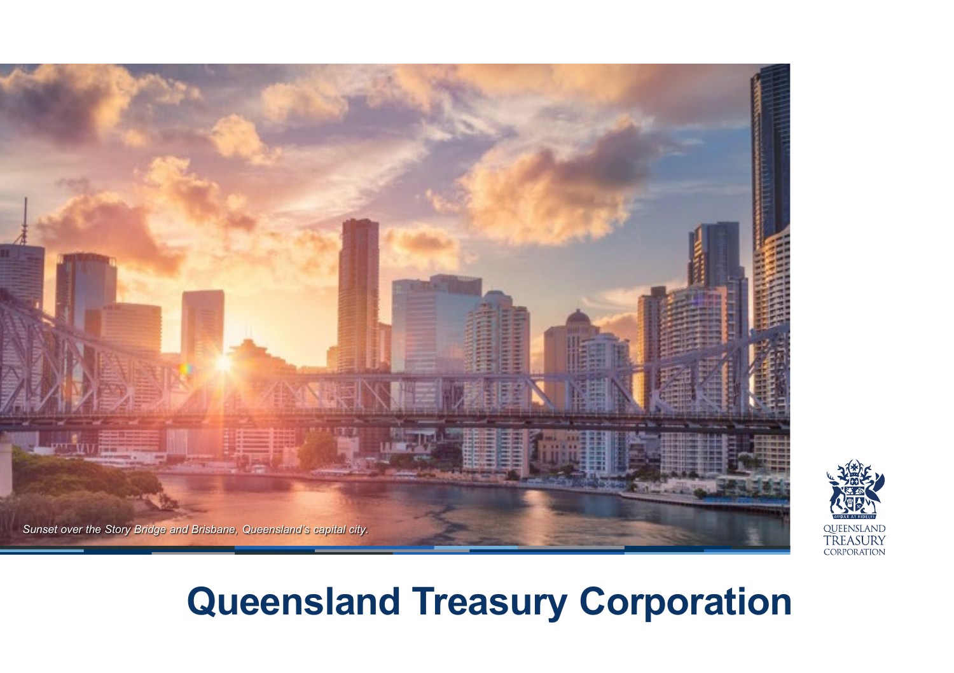

# **Queensland Treasury Corporation**

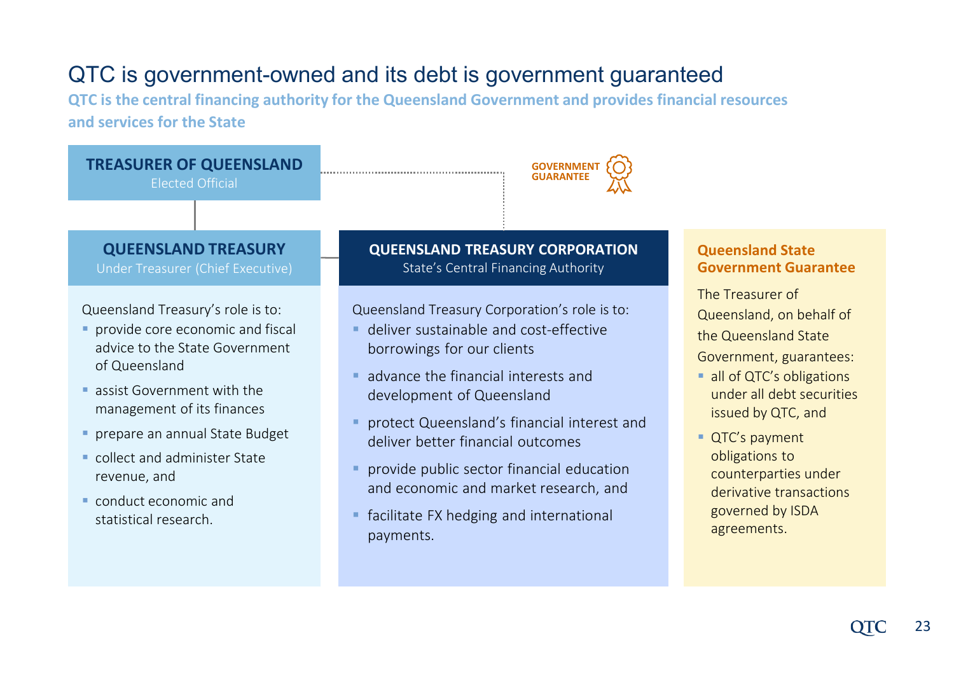### QTC is government-owned and its debt is government guaranteed

**QTC is the central financing authority for the Queensland Government and provides financial resources and services for the State**

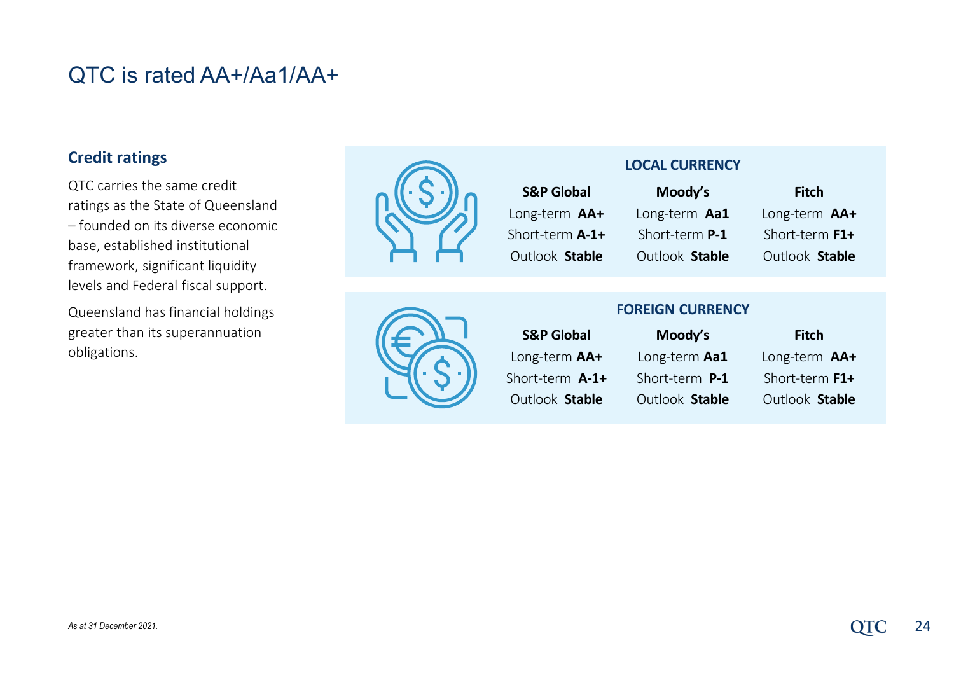### QTC is rated AA+/Aa1/AA+

#### **Credit ratings**

QTC carries the same credit ratings as the State of Queensland – founded on its diverse economic base, established institutional framework, significant liquidity levels and Federal fiscal support.

Queensland has financial holdings greater than its superannuation obligations.



#### **LOCAL CURRENCY**

| <b>S&amp;P Global</b> |  |  |  |  |
|-----------------------|--|--|--|--|
| Long-term AA+         |  |  |  |  |
| Short-term A-1+       |  |  |  |  |
| Outlook Stable        |  |  |  |  |

**Moody's** Long-term **Aa1** Short-term **P-1** Outlook **Stable**

**Fitch** Long-term **AA+** Short-term **F1+** Outlook **Stable** 

#### **FOREIGN CURRENCY**

| <b>S&amp;P Global</b> | Moody's        | Fitch          |
|-----------------------|----------------|----------------|
| Long-term AA+         | Long-term Aa1  | Long-term AA+  |
| Short-term A-1+       | Short-term P-1 | Short-term F1+ |
| Outlook Stable        | Outlook Stable | Outlook Stable |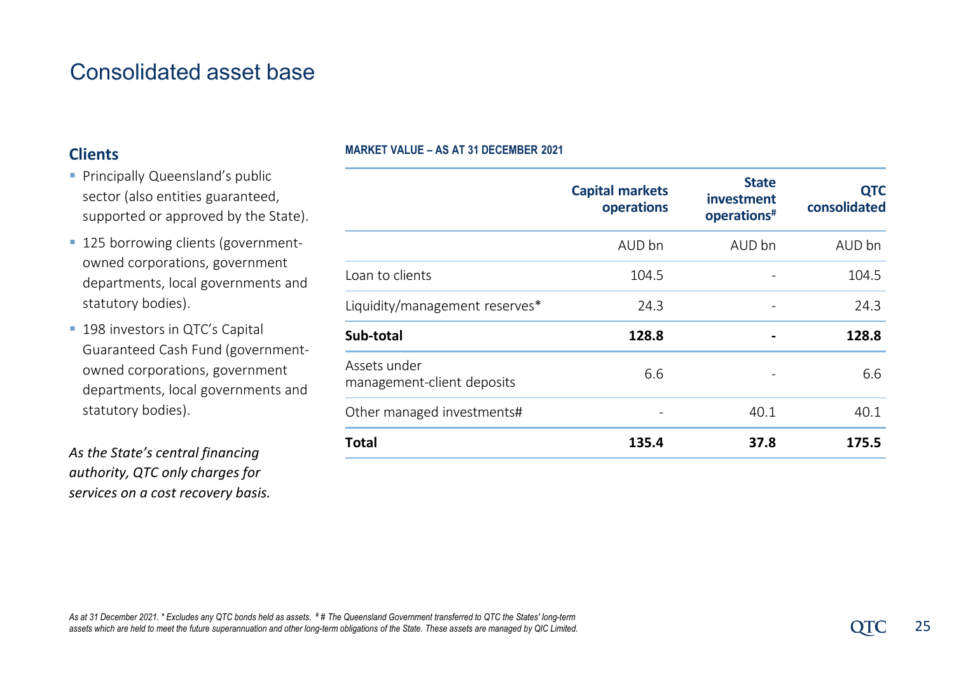### Consolidated asset base

#### **Clients**

#### **MARKET VALUE – AS AT 31 DECEMBER 2021**

- **Principally Queensland's public** sector (also entities guaranteed, supported or approved by the State).
- **125 borrowing clients (government**owned corporations, government departments, local governments and statutory bodies).
- **198 investors in QTC's Capital** Guaranteed Cash Fund (governmentowned corporations, government departments, local governments and statutory bodies).

*As the State's central financing authority, QTC only charges for services on a cost recovery basis.*

|                                            | <b>Capital markets</b><br>operations | <b>State</b><br>investment<br>operations <sup>#</sup> | <b>QTC</b><br>consolidated |
|--------------------------------------------|--------------------------------------|-------------------------------------------------------|----------------------------|
|                                            | AUD bn                               | AUD bn                                                | AUD bn                     |
| Loan to clients                            | 104.5                                |                                                       | 104.5                      |
| Liquidity/management reserves*             | 24.3                                 |                                                       | 24.3                       |
| Sub-total                                  | 128.8                                |                                                       | 128.8                      |
| Assets under<br>management-client deposits | 6.6                                  |                                                       | 6.6                        |
| Other managed investments#                 |                                      | 40.1                                                  | 40.1                       |
| <b>Total</b>                               | 135.4                                | 37.8                                                  | 175.5                      |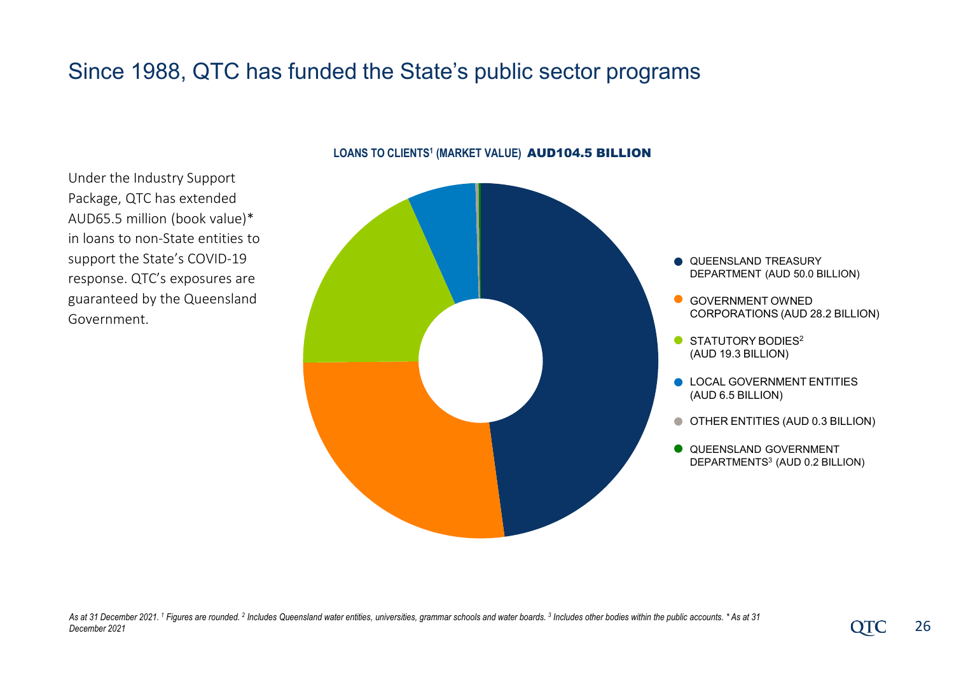### Since 1988, QTC has funded the State's public sector programs



#### LOANS TO CLIENTS<sup>1</sup> (MARKET VALUE) **AUD104.5 BILLION**

- **QUEENSLAND TREASURY** DEPARTMENT (AUD 50.0 BILLION)
- **GOVERNMENT OWNED** CORPORATIONS (AUD 28.2 BILLION)
- STATUTORY BODIES<sup>2</sup> (AUD 19.3 BILLION)
- **LOCAL GOVERNMENT ENTITIES** (AUD 6.5 BILLION)
- OTHER ENTITIES (AUD 0.3 BILLION)
- **O** QUEENSLAND GOVERNMENT DEPARTMENTS3 (AUD 0.2 BILLION)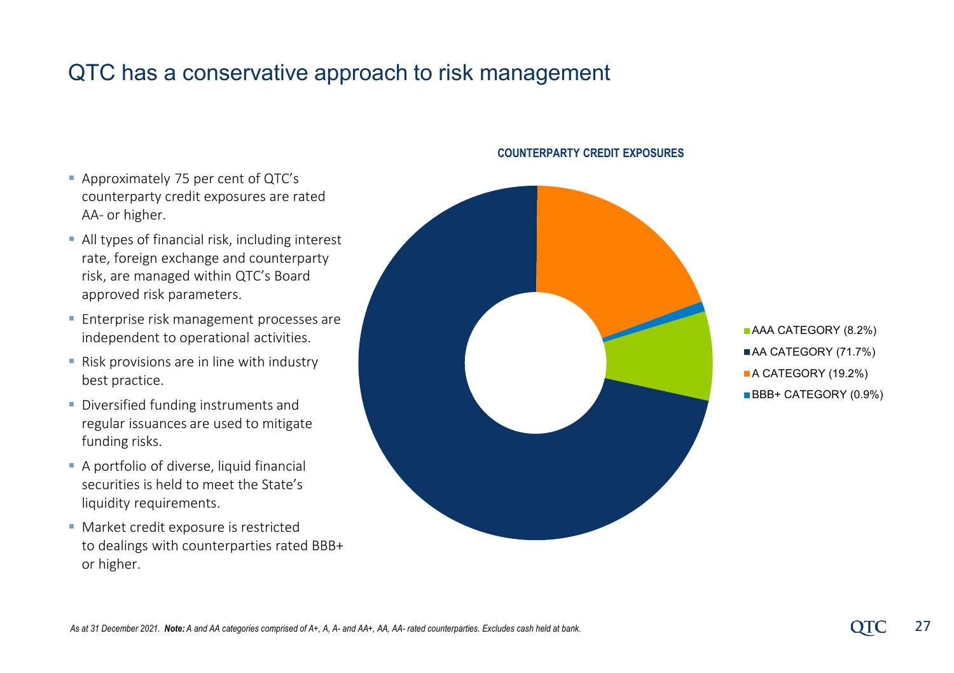### QTC has a conservative approach to risk management

- Approximately 75 per cent of QTC's counterparty credit exposures are rated AA- or higher.
- All types of financial risk, including interest rate, foreign exchange and counterparty risk, are managed within QTC's Board approved risk parameters.
- **Enterprise risk management processes are** independent to operational activities.
- **Risk provisions are in line with industry** best practice.
- **Diversified funding instruments and** regular issuances are used to mitigate funding risks.
- A portfolio of diverse, liquid financial securities is held to meet the State's liquidity requirements.
- **Market credit exposure is restricted** to dealings with counterparties rated BBB+ or higher.



**AAA CATEGORY (8.2%)** AA CATEGORY (71.7%) A CATEGORY (19.2%) BBB+ CATEGORY (0.9%)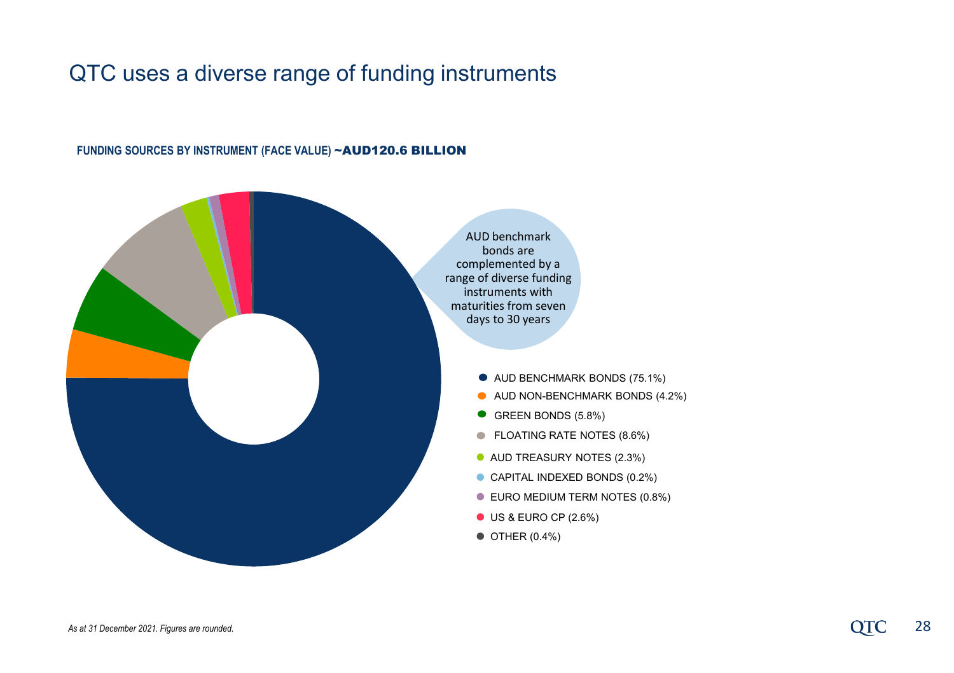### QTC uses a diverse range of funding instruments

#### FUNDING SOURCES BY INSTRUMENT (FACE VALUE) ~**AUD120.6 BILLION**

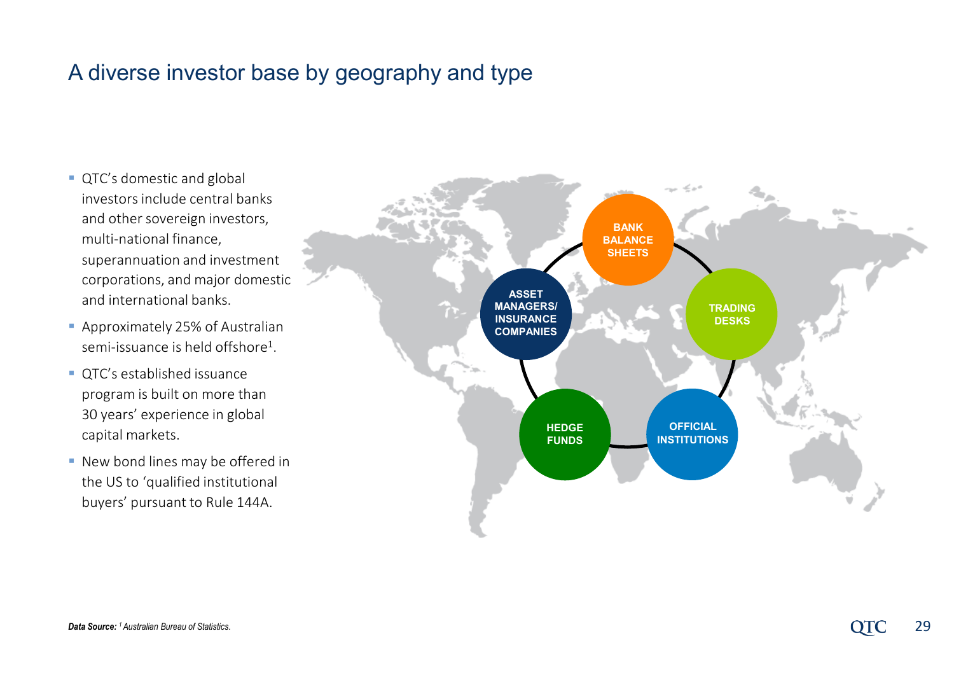### A diverse investor base by geography and type

- **QTC's domestic and global** investors include central banks and other sovereign investors, multi-national finance, superannuation and investment corporations, and major domestic and international banks.
- **Approximately 25% of Australian** semi-issuance is held offshore1.
- QTC's established issuance program is built on more than 30 years' experience in global capital markets.
- **New bond lines may be offered in** the US to 'qualified institutional buyers' pursuant to Rule 144A.

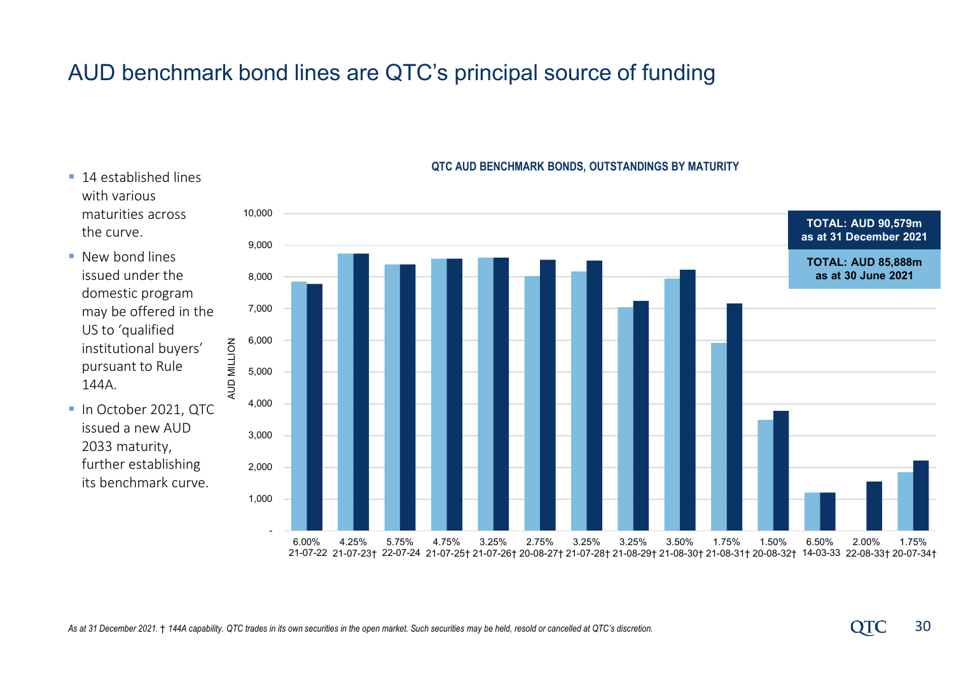### AUD benchmark bond lines are QTC's principal source of funding

- 14 established lines with various maturities across the curve.
- **New bond lines** issued under the domestic program may be offered in the US to 'qualified institutional buyers' pursuant to Rule 144A.
- In October 2021, QTC issued a new AUD 2033 maturity, further establishing its benchmark curve.



#### **QTC AUD BENCHMARK BONDS, OUTSTANDINGS BY MATURITY**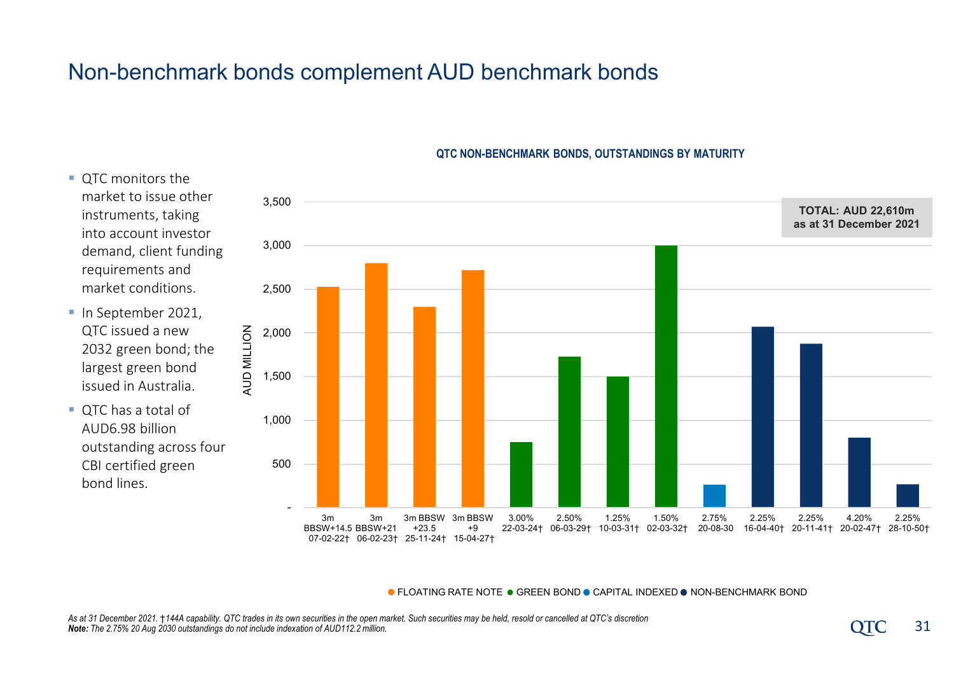### Non-benchmark bonds complement AUD benchmark bonds

OTC monitors the

requirements and

QTC issued a new

 QTC has a total of AUD6.98 billion

bond lines.



#### **QTC NON-BENCHMARK BONDS, OUTSTANDINGS BY MATURITY**

**.** FLOATING RATE NOTE . GREEN BOND **CAPITAL INDEXED . NON-BENCHMARK BOND**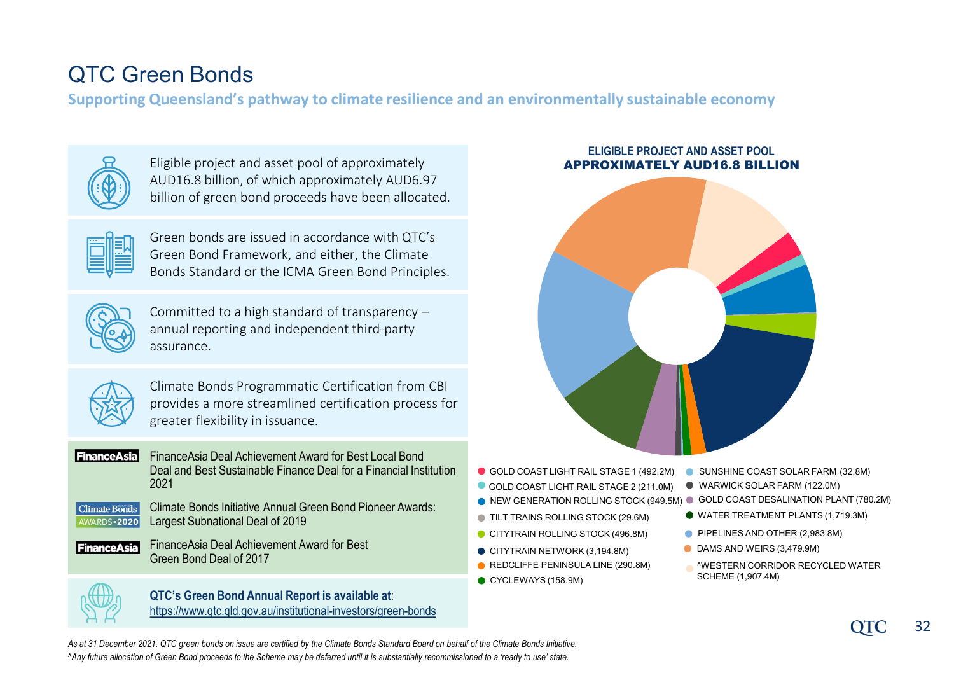## QTC Green Bonds

**Supporting Queensland's pathway to climate resilience and an environmentally sustainable economy**



Eligible project and asset pool of approximately AUD16.8 billion, of which approximately AUD6.97 billion of green bond proceeds have been allocated.

|  | ī |
|--|---|
|  |   |
|  |   |

Green bonds are issued in accordance with QTC's Green Bond Framework, and either, the Climate Bonds Standard or the ICMA Green Bond Principles.



Committed to a high standard of transparency – annual reporting and independent third-party assurance.



Climate Bonds Programmatic Certification from CBI provides a more streamlined certification process for greater flexibility in issuance.

**FinanceAsia** 

FinanceAsia Deal Achievement Award for Best Local Bond Deal and Best Sustainable Finance Deal for a Financial Institution 2021



Climate Bonds Initiative Annual Green Bond Pioneer Awards: Largest Subnational Deal of 2019

FinanceAsia Deal Achievement Award for Best **FinanceAsia** Green Bond Deal of 2017



**QTC's Green Bond Annual Report is available at**: <https://www.qtc.qld.gov.au/institutional-investors/green-bonds>

#### **ELIGIBLE PROJECT AND ASSET POOL** APPROXIMATELY AUD16.8 BILLION



- GOLD COAST LIGHT RAIL STAGE 1 (492.2M) SUNSHINE COAST SOLAR FARM (32.8M)
- GOLD COAST LIGHT RAIL STAGE 2 (211.0M)
- NEW GENERATION ROLLING STOCK (949.5M) GOLD COAST DESALINATION PLANT (780.2M)
- **TILT TRAINS ROLLING STOCK (29.6M)**
- CITYTRAIN ROLLING STOCK (496.8M)
- CITYTRAIN NETWORK (3,194.8M)
- REDCLIFFE PENINSULA LINE (290.8M)
- CYCLEWAYS (158.9M)
- 
- WARWICK SOLAR FARM (122.0M)
- 
- WATER TREATMENT PLANTS (1,719.3M)
- PIPELINES AND OTHER (2,983.8M)
- DAMS AND WEIRS (3,479.9M)
- ^WESTERN CORRIDOR RECYCLED WATER SCHEME (1,907.4M)

*As at 31 December 2021. QTC green bonds on issue are certified by the Climate Bonds Standard Board on behalf of the Climate Bonds Initiative. ^Any future allocation of Green Bond proceeds to the Scheme may be deferred until it is substantially recommissioned to a 'ready to use' state.*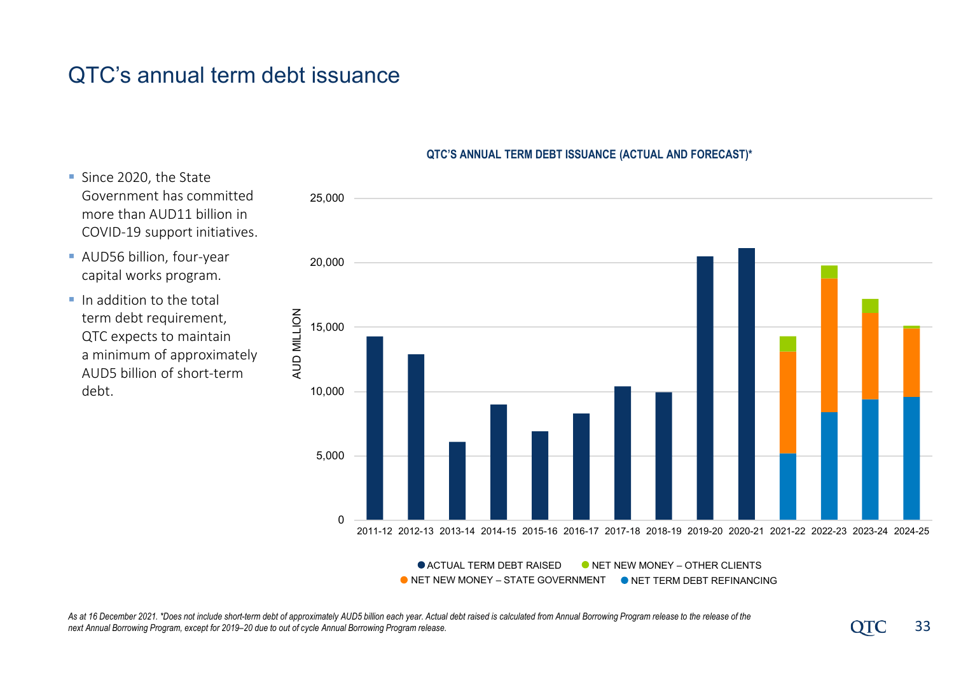### QTC's annual term debt issuance

- Since 2020, the State Government has committed more than AUD11 billion in COVID-19 support initiatives.
- AUD56 billion, four-year capital works program.
- $\blacksquare$  In addition to the total term debt requirement, QTC expects to maintain a minimum of approximately AUD5 billion of short-term debt.

#### **QTC'S ANNUAL TERM DEBT ISSUANCE (ACTUAL AND FORECAST)\***



 $\bullet$  **ACTUAL TERM DEBT RAISED O** NET NEW MONEY – STATE GOVERNMENT **NET NEW MONEY – OTHER CLIENTS ONET TERM DEBT REFINANCING** 

As at 16 December 2021. \*Does not include short-term debt of approximately AUD5 billion each year. Actual debt raised is calculated from Annual Borrowing Program release to the release of the **computal Borrowing Program pr** *next Annual Borrowing Program, except for 2019–20 due to out of cycle Annual Borrowing Program release.*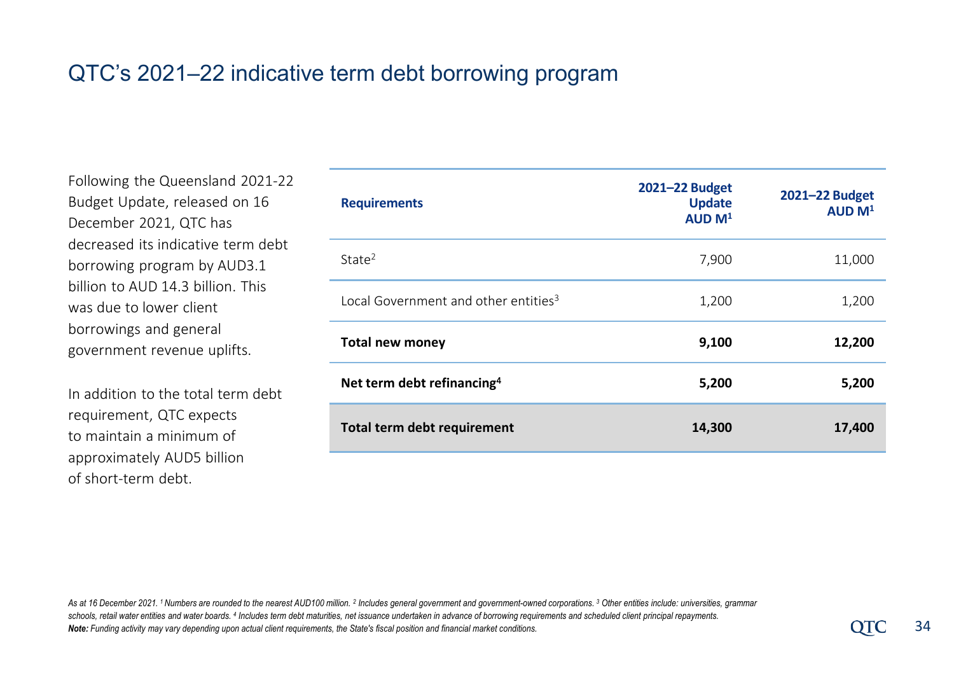### QTC's 2021–22 indicative term debt borrowing program

Following the Queensland 2021-22 Budget Update, released on 16 December 2021, QTC has decreased its indicative term debt borrowing program by AUD3.1 billion to AUD 14.3 billion. This was due to lower client borrowings and general government revenue uplifts.

In addition to the total term debt requirement, QTC expects to maintain a minimum of approximately AUD5 billion of short-term debt.

| <b>Requirements</b>                              | 2021-22 Budget<br><b>Update</b><br>AUD M <sup>1</sup> | 2021-22 Budget<br>AUD M <sup>1</sup> |
|--------------------------------------------------|-------------------------------------------------------|--------------------------------------|
| State <sup>2</sup>                               | 7,900                                                 | 11,000                               |
| Local Government and other entities <sup>3</sup> | 1,200                                                 | 1,200                                |
| <b>Total new money</b>                           | 9,100                                                 | 12,200                               |
| Net term debt refinancing <sup>4</sup>           | 5,200                                                 | 5,200                                |
| Total term debt requirement                      | 14,300                                                | 17,400                               |

*As at 16 December 2021. 1 Numbers are rounded to the nearest AUD100 million. 2 Includes general government and government-owned corporations. 3 Other entities include: universities, grammar*  schools, retail water entities and water boards. <sup>4</sup> Includes term debt maturities, net issuance undertaken in advance of borrowing requirements and scheduled client principal repayments. *Note: Funding activity may vary depending upon actual client requirements, the State's fiscal position and financial market conditions.*